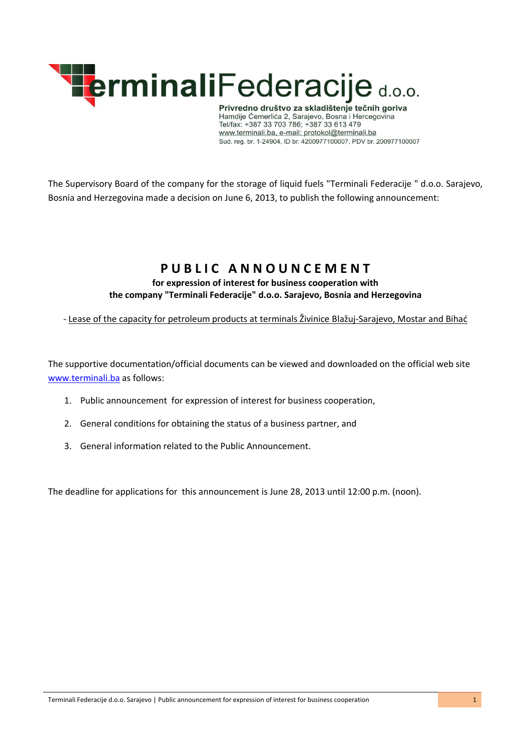

Privredno društvo za skladištenje tečnih goriva<br>Hamdije Ćemerlića 2, Sarajevo, Bosna i Hercegovina<br>Tel/fax: +387 33 703 786; +387 33 613 479 www.terminali.ba, e-mail: protokol@terminali.ba Sud. reg. br. 1-24904, ID br. 4200977100007, PDV br. 200977100007

The Supervisory Board of the company for the storage of liquid fuels "Terminali Federacije " d.o.o. Sarajevo, Bosnia and Herzegovina made a decision on June 6, 2013, to publish the following announcement:

# PUBLIC ANNOUNCEMENT

**for expression of interest for business cooperation with the company "Terminali Federacije" d.o.o. Sarajevo, Bosnia and Herzegovina**

- Lease of the capacity for petroleum products at terminals Živinice Blažuj-Sarajevo, Mostar and Bihać

The supportive documentation/official documents can be viewed and downloaded on the official web site [www.terminali.ba](http://www.terminali.ba/) as follows:

- 1. Public announcement for expression of interest for business cooperation,
- 2. General conditions for obtaining the status of a business partner, and
- 3. General information related to the Public Announcement.

The deadline for applications for this announcement is June 28, 2013 until 12:00 p.m. (noon).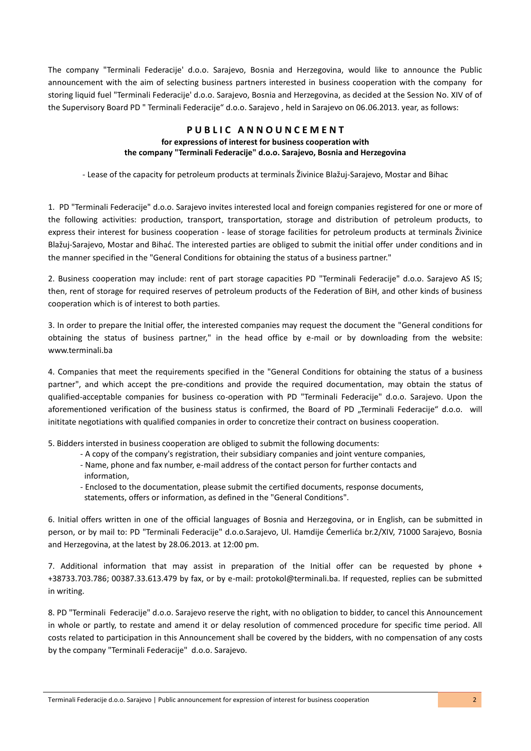The company "Terminali Federacije' d.o.o. Sarajevo, Bosnia and Herzegovina, would like to announce the Public announcement with the aim of selecting business partners interested in business cooperation with the company for storing liquid fuel "Terminali Federacije' d.o.o. Sarajevo, Bosnia and Herzegovina, as decided at the Session No. XIV of of the Supervisory Board PD " Terminali Federacije" d.o.o. Sarajevo , held in Sarajevo on 06.06.2013. year, as follows:

#### **P U B L I C A N N O U N C E M E N T for expressions of interest for business cooperation with the company "Terminali Federacije" d.o.o. Sarajevo, Bosnia and Herzegovina**

- Lease of the capacity for petroleum products at terminals Živinice Blažuj-Sarajevo, Mostar and Bihac

1. PD "Terminali Federacije" d.o.o. Sarajevo invites interested local and foreign companies registered for one or more of the following activities: production, transport, transportation, storage and distribution of petroleum products, to express their interest for business cooperation - lease of storage facilities for petroleum products at terminals Živinice Blažuj-Sarajevo, Mostar and Bihać. The interested parties are obliged to submit the initial offer under conditions and in the manner specified in the "General Conditions for obtaining the status of a business partner."

2. Business cooperation may include: rent of part storage capacities PD "Terminali Federacije" d.o.o. Sarajevo AS IS; then, rent of storage for required reserves of petroleum products of the Federation of BiH, and other kinds of business cooperation which is of interest to both parties.

3. In order to prepare the Initial offer, the interested companies may request the document the "General conditions for obtaining the status of business partner," in the head office by e-mail or by downloading from the website: www.terminali.ba

4. Companies that meet the requirements specified in the "General Conditions for obtaining the status of a business partner", and which accept the pre-conditions and provide the required documentation, may obtain the status of qualified-acceptable companies for business co-operation with PD "Terminali Federacije" d.o.o. Sarajevo. Upon the aforementioned verification of the business status is confirmed, the Board of PD "Terminali Federacije" d.o.o. will inititate negotiations with qualified companies in order to concretize their contract on business cooperation.

5. Bidders intersted in business cooperation are obliged to submit the following documents:

- A copy of the company's registration, their subsidiary companies and joint venture companies,
- Name, phone and fax number, e-mail address of the contact person for further contacts and information,
- Enclosed to the documentation, please submit the certified documents, response documents,
- statements, offers or information, as defined in the "General Conditions".

6. Initial offers written in one of the official languages of Bosnia and Herzegovina, or in English, can be submitted in person, or by mail to: PD "Terminali Federacije" d.o.o.Sarajevo, Ul. Hamdije Ćemerlića br.2/XIV, 71000 Sarajevo, Bosnia and Herzegovina, at the latest by 28.06.2013. at 12:00 pm.

7. Additional information that may assist in preparation of the Initial offer can be requested by phone + +38733.703.786; 00387.33.613.479 by fax, or by e-mail: protokol@terminali.ba. If requested, replies can be submitted in writing.

8. PD "Terminali Federacije" d.o.o. Sarajevo reserve the right, with no obligation to bidder, to cancel this Announcement in whole or partly, to restate and amend it or delay resolution of commenced procedure for specific time period. All costs related to participation in this Announcement shall be covered by the bidders, with no compensation of any costs by the company "Terminali Federacije" d.o.o. Sarajevo.

Terminali Federacije d.o.o. Sarajevo | Public announcement for expression of interest for business cooperation 2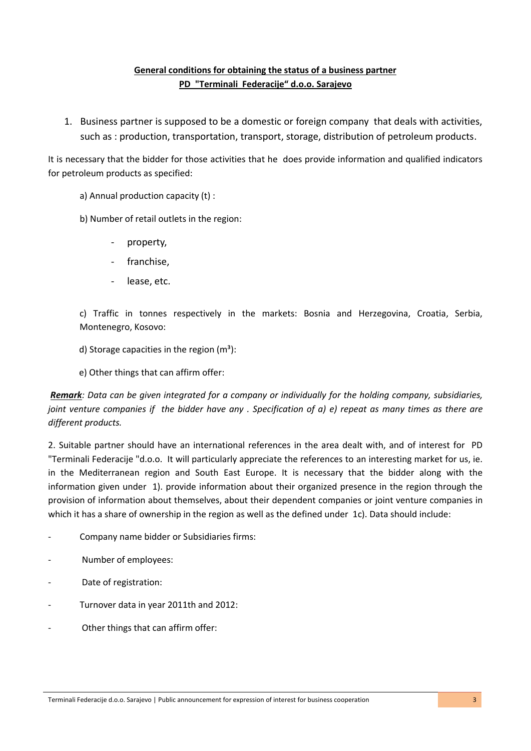### **General conditions for obtaining the status of a business partner PD "Terminali Federacije" d.o.o. Sarajevo**

1. Business partner is supposed to be a domestic or foreign company that deals with activities, such as : production, transportation, transport, storage, distribution of petroleum products.

It is necessary that the bidder for those activities that he does provide information and qualified indicators for petroleum products as specified:

a) Annual production capacity (t) :

b) Number of retail outlets in the region:

- property,
- franchise,
- lease, etc.

c) Traffic in tonnes respectively in the markets: Bosnia and Herzegovina, Croatia, Serbia, Montenegro, Kosovo:

d) Storage capacities in the region  $(m<sup>3</sup>)$ :

e) Other things that can affirm offer:

*Remark: Data can be given integrated for a company or individually for the holding company, subsidiaries, joint venture companies if the bidder have any . Specification of a) e) repeat as many times as there are different products.*

2. Suitable partner should have an international references in the area dealt with, and of interest for PD "Terminali Federacije "d.o.o. It will particularly appreciate the references to an interesting market for us, ie. in the Mediterranean region and South East Europe. It is necessary that the bidder along with the information given under 1). provide information about their organized presence in the region through the provision of information about themselves, about their dependent companies or joint venture companies in which it has a share of ownership in the region as well as the defined under 1c). Data should include:

- Company name bidder or Subsidiaries firms:
- Number of employees:
- Date of registration:
- Turnover data in year 2011th and 2012:
- Other things that can affirm offer: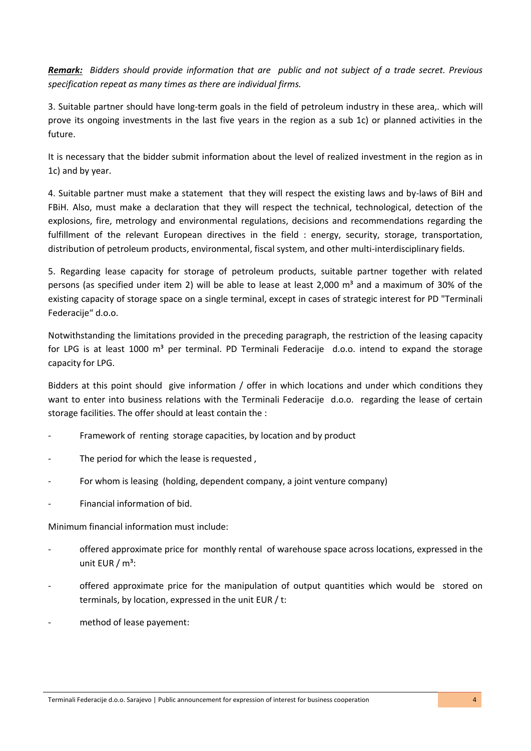*Remark: Bidders should provide information that are public and not subject of a trade secret. Previous specification repeat as many times as there are individual firms.*

3. Suitable partner should have long-term goals in the field of petroleum industry in these area,. which will prove its ongoing investments in the last five years in the region as a sub 1c) or planned activities in the future.

It is necessary that the bidder submit information about the level of realized investment in the region as in 1c) and by year.

4. Suitable partner must make a statement that they will respect the existing laws and by-laws of BiH and FBiH. Also, must make a declaration that they will respect the technical, technological, detection of the explosions, fire, metrology and environmental regulations, decisions and recommendations regarding the fulfillment of the relevant European directives in the field : energy, security, storage, transportation, distribution of petroleum products, environmental, fiscal system, and other multi-interdisciplinary fields.

5. Regarding lease capacity for storage of petroleum products, suitable partner together with related persons (as specified under item 2) will be able to lease at least 2,000 m<sup>3</sup> and a maximum of 30% of the existing capacity of storage space on a single terminal, except in cases of strategic interest for PD "Terminali Federacije" d.o.o.

Notwithstanding the limitations provided in the preceding paragraph, the restriction of the leasing capacity for LPG is at least 1000  $m<sup>3</sup>$  per terminal. PD Terminali Federacije d.o.o. intend to expand the storage capacity for LPG.

Bidders at this point should give information / offer in which locations and under which conditions they want to enter into business relations with the Terminali Federacije d.o.o. regarding the lease of certain storage facilities. The offer should at least contain the :

- Framework of renting storage capacities, by location and by product
- The period for which the lease is requested.
- For whom is leasing (holding, dependent company, a joint venture company)
- Financial information of bid.

Minimum financial information must include:

- offered approximate price for monthly rental of warehouse space across locations, expressed in the unit EUR  $/m^3$ :
- offered approximate price for the manipulation of output quantities which would be stored on terminals, by location, expressed in the unit EUR / t:
- method of lease payement: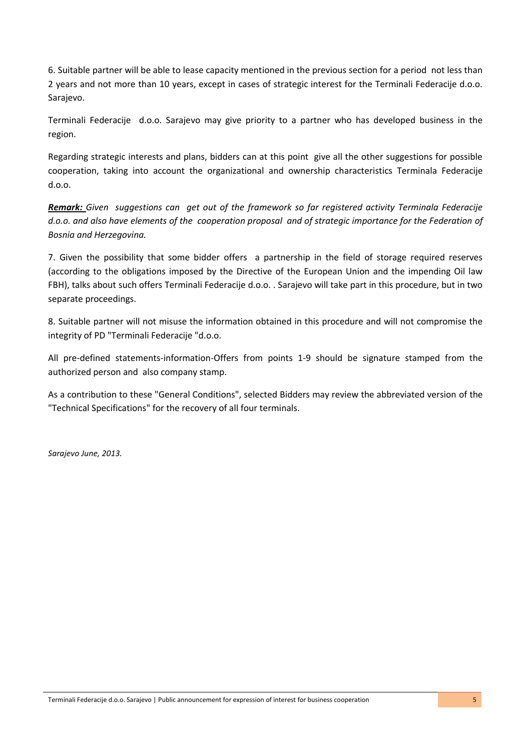6. Suitable partner will be able to lease capacity mentioned in the previous section for a period not less than 2 years and not more than 10 years, except in cases of strategic interest for the Terminali Federacije d.o.o. Sarajevo.

Terminali Federacije d.o.o. Sarajevo may give priority to a partner who has developed business in the region.

Regarding strategic interests and plans, bidders can at this point give all the other suggestions for possible cooperation, taking into account the organizational and ownership characteristics Terminala Federacije d.o.o.

*Remark: Given suggestions can get out of the framework so far registered activity Terminala Federacije d.o.o. and also have elements of the cooperation proposal and of strategic importance for the Federation of Bosnia and Herzegovina.*

7. Given the possibility that some bidder offers a partnership in the field of storage required reserves (according to the obligations imposed by the Directive of the European Union and the impending Oil law FBH), talks about such offers Terminali Federacije d.o.o. . Sarajevo will take part in this procedure, but in two separate proceedings.

8. Suitable partner will not misuse the information obtained in this procedure and will not compromise the integrity of PD "Terminali Federacije "d.o.o.

All pre-defined statements-information-Offers from points 1-9 should be signature stamped from the authorized person and also company stamp.

As a contribution to these "General Conditions", selected Bidders may review the abbreviated version of the "Technical Specifications" for the recovery of all four terminals.

*Sarajevo June, 2013.*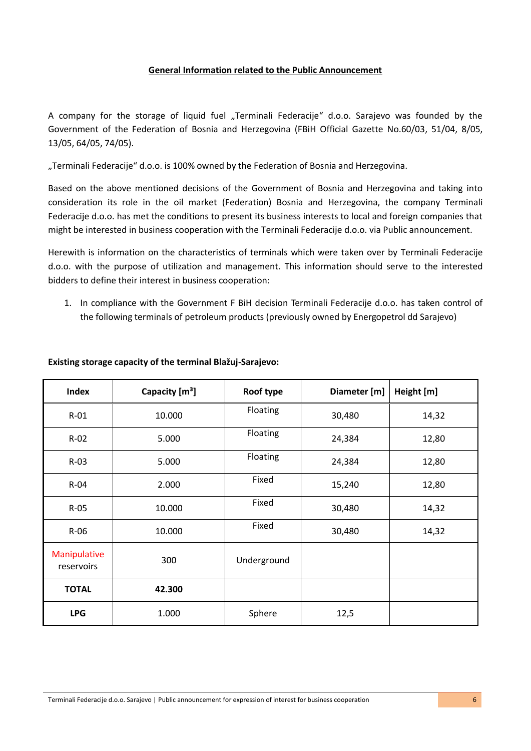#### **General Information related to the Public Announcement**

A company for the storage of liquid fuel "Terminali Federacije" d.o.o. Sarajevo was founded by the Government of the Federation of Bosnia and Herzegovina (FBiH Official Gazette No.60/03, 51/04, 8/05, 13/05, 64/05, 74/05).

"Terminali Federacije" d.o.o. is 100% owned by the Federation of Bosnia and Herzegovina.

Based on the above mentioned decisions of the Government of Bosnia and Herzegovina and taking into consideration its role in the oil market (Federation) Bosnia and Herzegovina, the company Terminali Federacije d.o.o. has met the conditions to present its business interests to local and foreign companies that might be interested in business cooperation with the Terminali Federacije d.o.o. via Public announcement.

Herewith is information on the characteristics of terminals which were taken over by Terminali Federacije d.o.o. with the purpose of utilization and management. This information should serve to the interested bidders to define their interest in business cooperation:

1. In compliance with the Government F BiH decision Terminali Federacije d.o.o. has taken control of the following terminals of petroleum products (previously owned by Energopetrol dd Sarajevo)

| <b>Index</b>               | Capacity [m <sup>3</sup> ] | Roof type   | Diameter [m] | Height [m] |
|----------------------------|----------------------------|-------------|--------------|------------|
| $R-01$                     | 10.000                     | Floating    | 30,480       | 14,32      |
| $R-02$                     | 5.000                      | Floating    | 24,384       | 12,80      |
| $R-03$                     | 5.000                      | Floating    | 24,384       | 12,80      |
| $R-04$                     | 2.000                      | Fixed       | 15,240       | 12,80      |
| $R-05$                     | 10.000                     | Fixed       | 30,480       | 14,32      |
| $R-06$                     | 10.000                     | Fixed       | 30,480       | 14,32      |
| Manipulative<br>reservoirs | 300                        | Underground |              |            |
| <b>TOTAL</b>               | 42.300                     |             |              |            |
| <b>LPG</b>                 | 1.000                      | Sphere      | 12,5         |            |

#### **Existing storage capacity of the terminal Blažuj-Sarajevo:**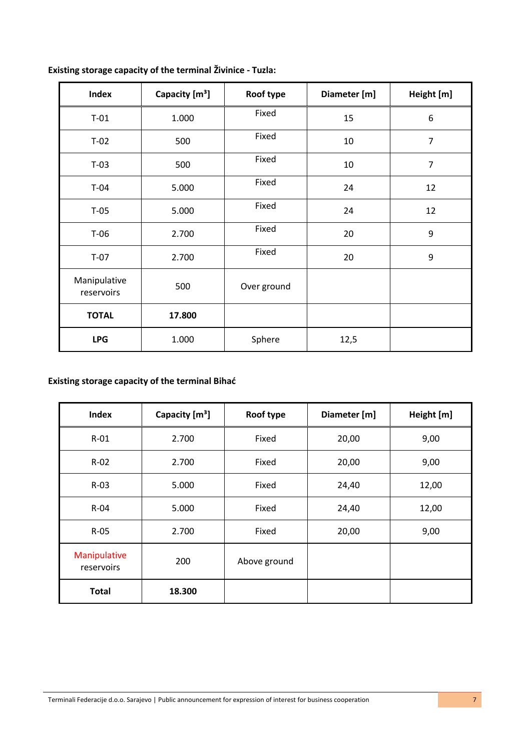| <b>Index</b>               | Capacity [m <sup>3</sup> ] | Roof type   | Diameter [m] | Height [m]     |
|----------------------------|----------------------------|-------------|--------------|----------------|
| $T-01$                     | 1.000                      | Fixed       | 15           | 6              |
| $T-02$                     | 500                        | Fixed       | 10           | $\overline{7}$ |
| $T-03$                     | 500                        | Fixed       | 10           | $\overline{7}$ |
| $T-04$                     | 5.000                      | Fixed       | 24           | 12             |
| $T-05$                     | 5.000                      | Fixed       | 24           | 12             |
| $T-06$                     | 2.700                      | Fixed       | 20           | 9              |
| $T-07$                     | 2.700                      | Fixed       | 20           | 9              |
| Manipulative<br>reservoirs | 500                        | Over ground |              |                |
| <b>TOTAL</b>               | 17.800                     |             |              |                |
| <b>LPG</b>                 | 1.000                      | Sphere      | 12,5         |                |

## **Existing storage capacity of the terminal Živinice - Tuzla:**

## **Existing storage capacity of the terminal Bihać**

| <b>Index</b>               | Capacity [m <sup>3</sup> ] | Roof type    | Diameter [m] | Height [m] |
|----------------------------|----------------------------|--------------|--------------|------------|
| $R-01$                     | 2.700                      | Fixed        | 20,00        | 9,00       |
| $R-02$                     | 2.700                      | Fixed        | 20,00        | 9,00       |
| $R-03$                     | 5.000                      | Fixed        | 24,40        | 12,00      |
| $R-04$                     | 5.000                      | Fixed        | 24,40        | 12,00      |
| $R-05$                     | 2.700                      | Fixed        | 20,00        | 9,00       |
| Manipulative<br>reservoirs | 200                        | Above ground |              |            |
| <b>Total</b>               | 18.300                     |              |              |            |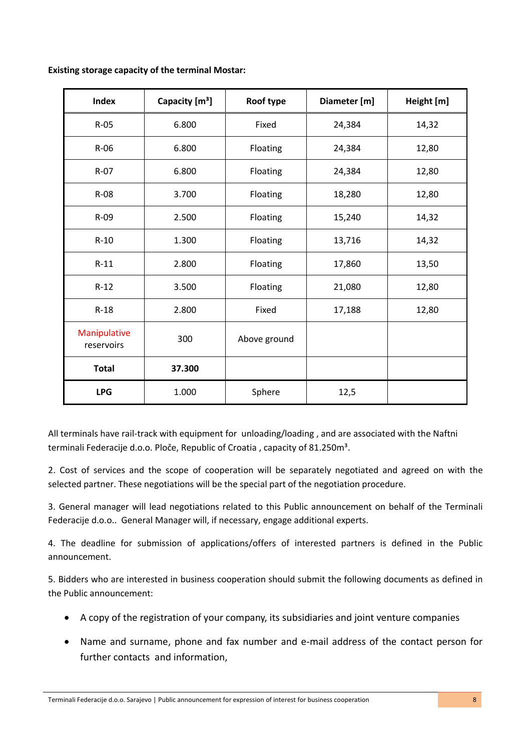| <b>Existing storage capacity of the terminal Mostar:</b> |
|----------------------------------------------------------|
|----------------------------------------------------------|

| Index                      | Capacity [m <sup>3</sup> ] | Roof type    | Diameter [m] | Height [m] |
|----------------------------|----------------------------|--------------|--------------|------------|
| $R-05$                     | 6.800                      | Fixed        | 24,384       | 14,32      |
| $R-06$                     | 6.800                      | Floating     | 24,384       | 12,80      |
| $R-07$                     | 6.800                      | Floating     | 24,384       | 12,80      |
| R-08                       | 3.700                      | Floating     | 18,280       | 12,80      |
| $R-09$                     | 2.500                      | Floating     | 15,240       | 14,32      |
| $R-10$                     | 1.300                      | Floating     | 13,716       | 14,32      |
| $R-11$                     | 2.800                      | Floating     | 17,860       | 13,50      |
| $R-12$                     | 3.500                      | Floating     | 21,080       | 12,80      |
| $R-18$                     | 2.800                      | Fixed        | 17,188       | 12,80      |
| Manipulative<br>reservoirs | 300                        | Above ground |              |            |
| <b>Total</b>               | 37.300                     |              |              |            |
| <b>LPG</b>                 | 1.000                      | Sphere       | 12,5         |            |

All terminals have rail-track with equipment for unloading/loading , and are associated with the Naftni terminali Federacije d.o.o. Ploče, Republic of Croatia, capacity of 81.250m<sup>3</sup>.

2. Cost of services and the scope of cooperation will be separately negotiated and agreed on with the selected partner. These negotiations will be the special part of the negotiation procedure.

3. General manager will lead negotiations related to this Public announcement on behalf of the Terminali Federacije d.o.o.. General Manager will, if necessary, engage additional experts.

4. The deadline for submission of applications/offers of interested partners is defined in the Public announcement.

5. Bidders who are interested in business cooperation should submit the following documents as defined in the Public announcement:

- A copy of the registration of your company, its subsidiaries and joint venture companies
- Name and surname, phone and fax number and e-mail address of the contact person for further contacts and information,